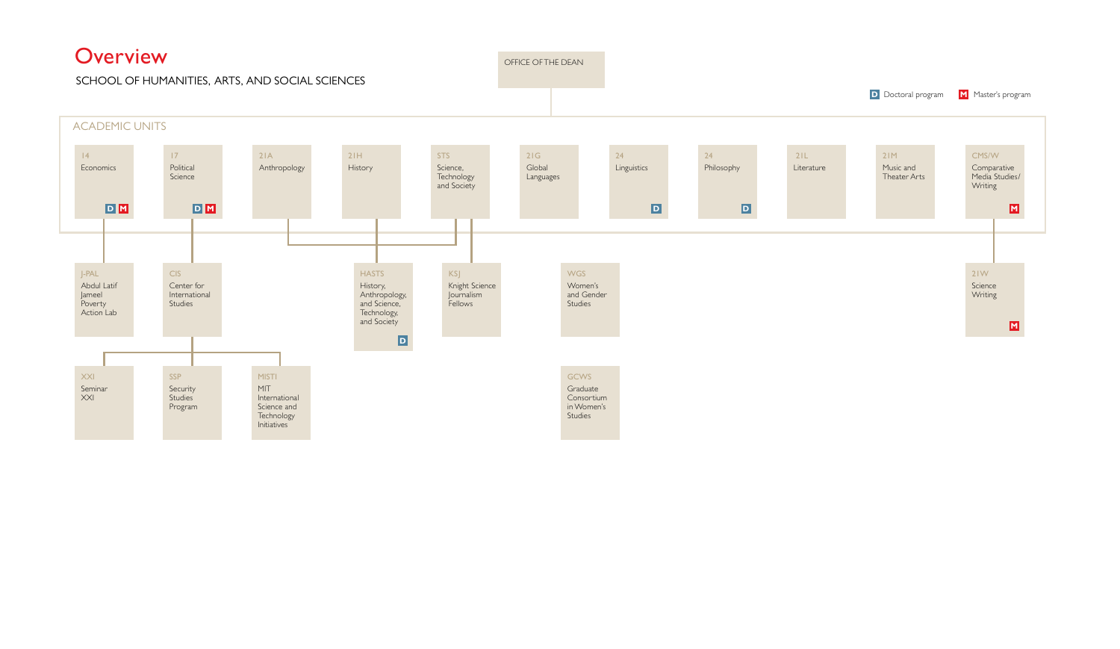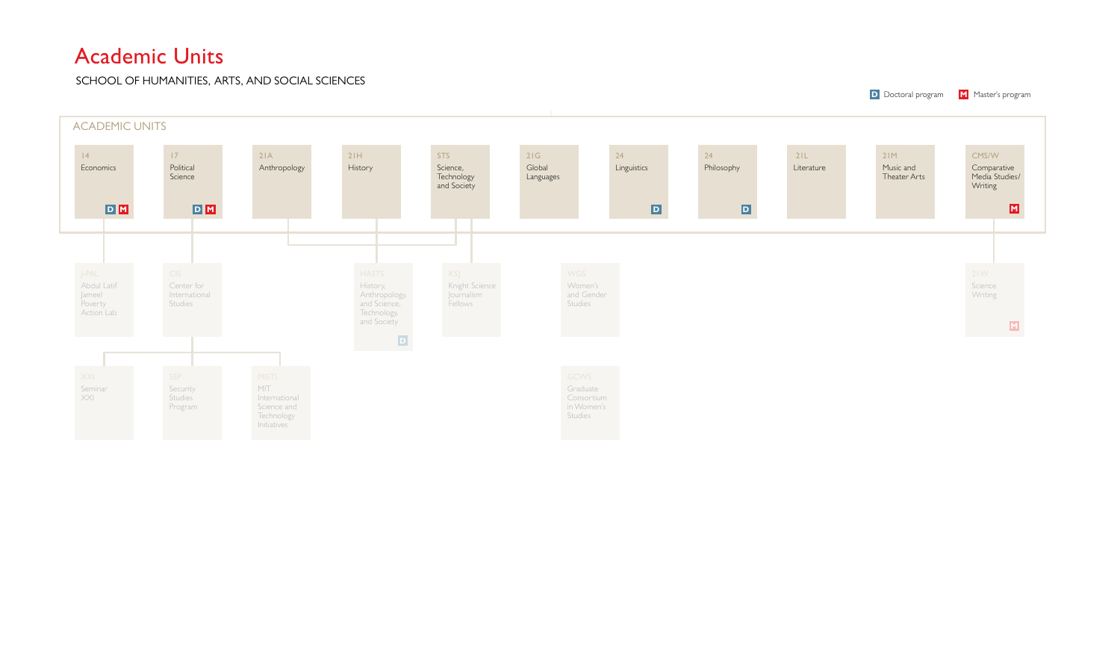# Academic Units

SCHOOL OF HUMANITIES, ARTS, AND SOCIAL SCIENCES

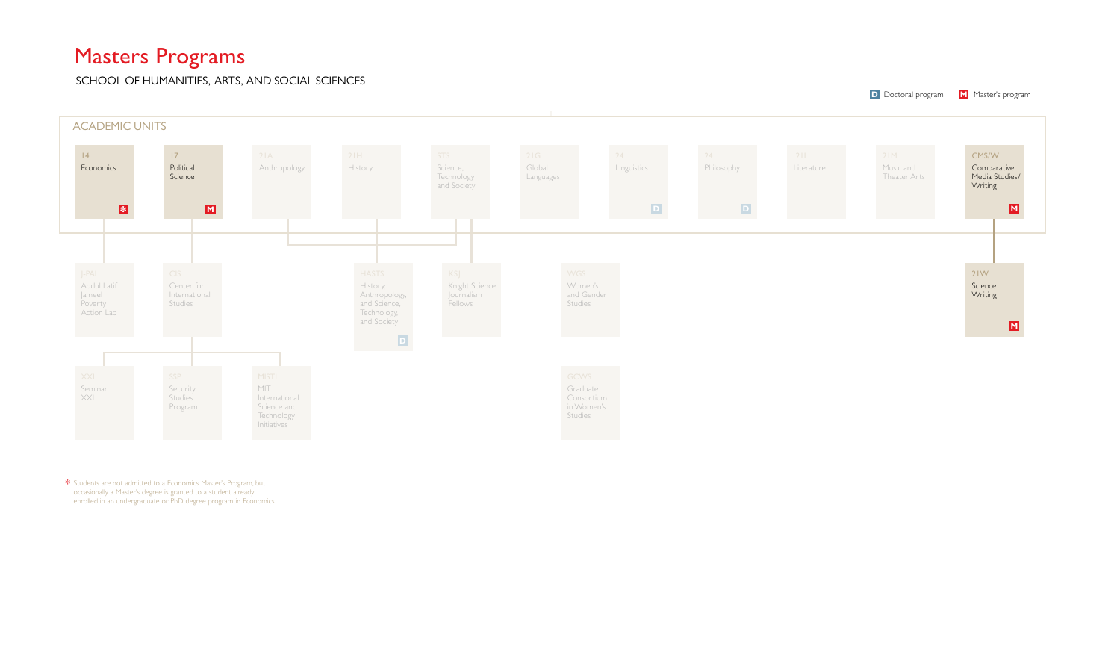# Masters Programs

SCHOOL OF HUMANITIES, ARTS, AND SOCIAL SCIENCES



\* Students are not admitted to a Economics Master's Program, but occasionally a Master's degree is granted to a student already enrolled in an undergraduate or PhD degree program in Economics.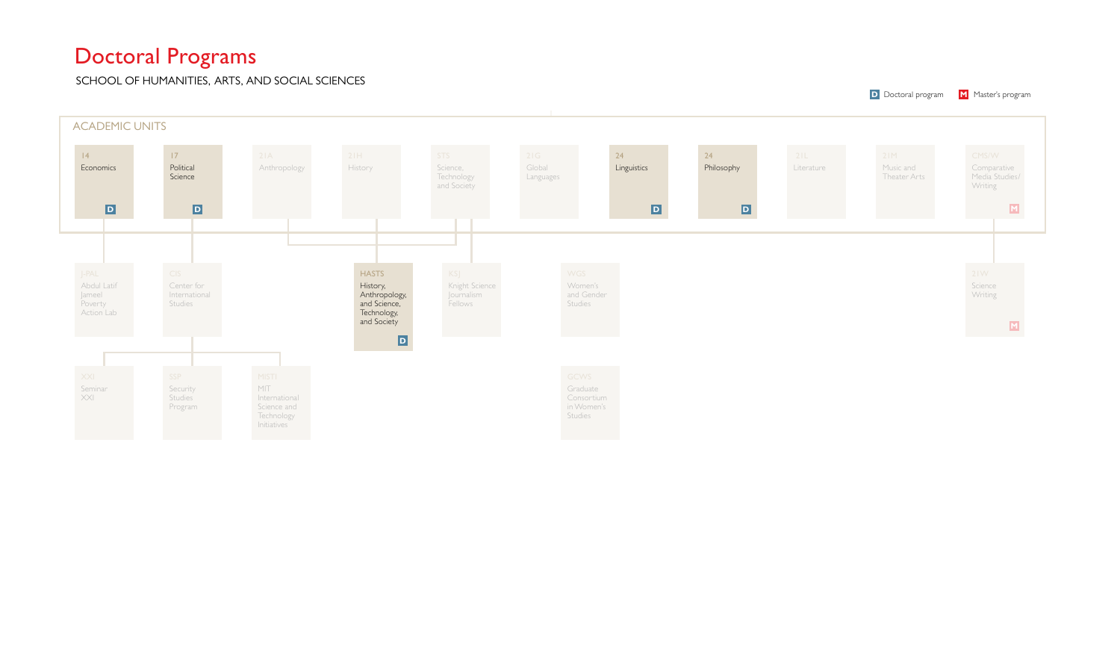# Doctoral Programs

SCHOOL OF HUMANITIES, ARTS, AND SOCIAL SCIENCES